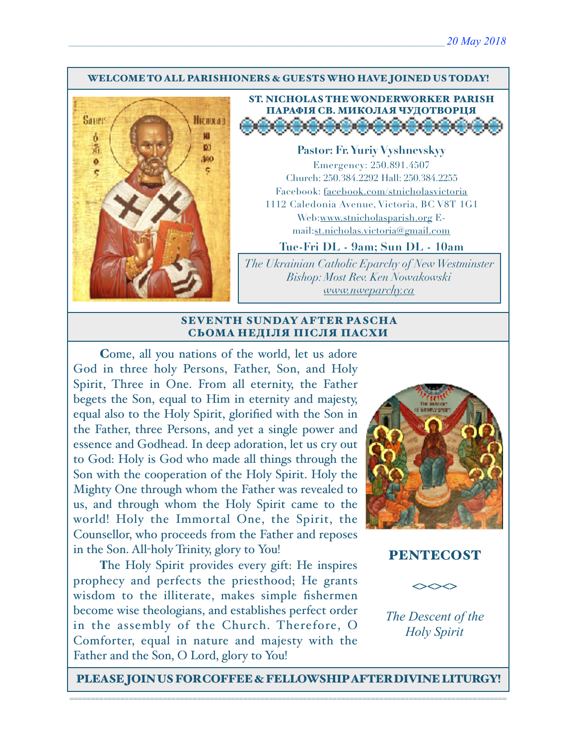#### WELCOME TO ALL PARISHIONERS & GUESTS WHO HAVE JOINED US TODAY!





**Pastor: Fr. Yuriy Vyshnevskyy** Emergency: 250.891.4507 Church: 250.384.2292 Hall: 250.384.2255 Facebook: facebook.com/stnicholasvictoria 1112 Caledonia Avenue, Victoria, BC V8T 1G1 Web[:www.stnicholasparish.org](http://www.stnicholasparish.org) Email:[st.nicholas.victoria@gmail.com](mailto:st.nicholas.victoria@gmail.com)

**Tue-Fri DL - 9am; Sun DL - 10am**

*The Ukrainian Catholic Eparchy of New Westminster Bishop: Most Rev. Ken Nowakowski [www.nweparchy.ca](http://www.nweparchy.ca)*

#### SEVENTH SUNDAY AFTER PASCHA СЬОМА НЕДІЛЯ ПІСЛЯ ПАСХИ

Come, all you nations of the world, let us adore God in three holy Persons, Father, Son, and Holy Spirit, Three in One. From all eternity, the Father begets the Son, equal to Him in eternity and majesty, equal also to the Holy Spirit, glorified with the Son in the Father, three Persons, and yet a single power and essence and Godhead. In deep adoration, let us cry out to God: Holy is God who made all things through the Son with the cooperation of the Holy Spirit. Holy the Mighty One through whom the Father was revealed to us, and through whom the Holy Spirit came to the world! Holy the Immortal One, the Spirit, the Counsellor, who proceeds from the Father and reposes in the Son. All-holy Trinity, glory to You!

**T**he Holy Spirit provides every gift: He inspires prophecy and perfects the priesthood; He grants wisdom to the illiterate, makes simple fishermen become wise theologians, and establishes perfect order in the assembly of the Church. Therefore, O Comforter, equal in nature and majesty with the Father and the Son, O Lord, glory to You!



## PENTECOST



*The Descent of the Holy Spirit*

PLEASE JOIN US FOR COFFEE & FELLOWSHIP AFTER DIVINE LITURGY!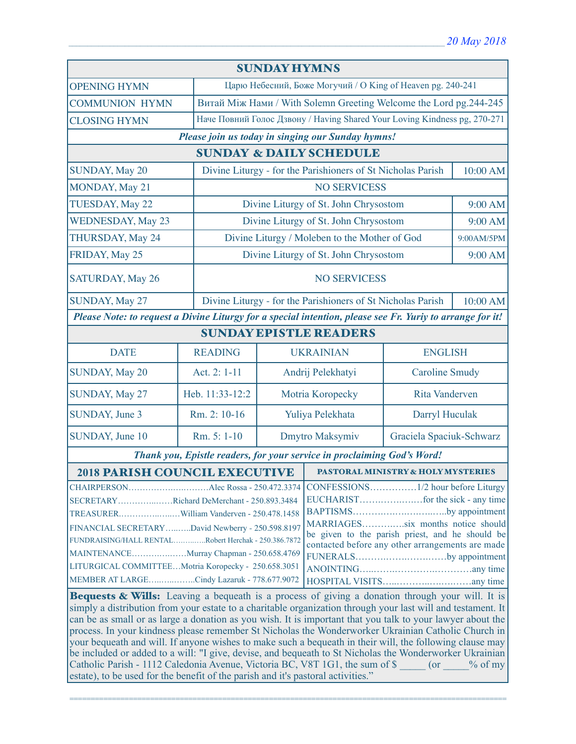| <b>SUNDAY HYMNS</b>                                                                                        |                 |                                                                           |                                                             |                       |            |
|------------------------------------------------------------------------------------------------------------|-----------------|---------------------------------------------------------------------------|-------------------------------------------------------------|-----------------------|------------|
| <b>OPENING HYMN</b>                                                                                        |                 | Царю Небесний, Боже Могучий / О King of Heaven pg. 240-241                |                                                             |                       |            |
| <b>COMMUNION HYMN</b>                                                                                      |                 | Витай Між Нами / With Solemn Greeting Welcome the Lord pg.244-245         |                                                             |                       |            |
| <b>CLOSING HYMN</b>                                                                                        |                 | Наче Повний Голос Дзвону / Having Shared Your Loving Kindness pg, 270-271 |                                                             |                       |            |
| Please join us today in singing our Sunday hymns!                                                          |                 |                                                                           |                                                             |                       |            |
| <b>SUNDAY &amp; DAILY SCHEDULE</b>                                                                         |                 |                                                                           |                                                             |                       |            |
| SUNDAY, May 20                                                                                             |                 | Divine Liturgy - for the Parishioners of St Nicholas Parish               |                                                             |                       | 10:00 AM   |
| MONDAY, May 21                                                                                             |                 |                                                                           | <b>NO SERVICESS</b>                                         |                       |            |
| TUESDAY, May 22                                                                                            |                 |                                                                           | Divine Liturgy of St. John Chrysostom                       |                       | 9:00 AM    |
| <b>WEDNESDAY, May 23</b>                                                                                   |                 |                                                                           | Divine Liturgy of St. John Chrysostom                       |                       | 9:00 AM    |
| THURSDAY, May 24                                                                                           |                 |                                                                           | Divine Liturgy / Moleben to the Mother of God               |                       | 9:00AM/5PM |
| FRIDAY, May 25                                                                                             |                 | Divine Liturgy of St. John Chrysostom                                     |                                                             |                       | 9:00 AM    |
| <b>SATURDAY, May 26</b>                                                                                    |                 | <b>NO SERVICESS</b>                                                       |                                                             |                       |            |
| SUNDAY, May 27                                                                                             |                 |                                                                           | Divine Liturgy - for the Parishioners of St Nicholas Parish |                       | 10:00 AM   |
| Please Note: to request a Divine Liturgy for a special intention, please see Fr. Yuriy to arrange for it!  |                 |                                                                           |                                                             |                       |            |
| <b>SUNDAY EPISTLE READERS</b>                                                                              |                 |                                                                           |                                                             |                       |            |
| <b>DATE</b>                                                                                                | <b>READING</b>  | <b>UKRAINIAN</b>                                                          |                                                             | <b>ENGLISH</b>        |            |
| SUNDAY, May 20                                                                                             | Act. 2: 1-11    |                                                                           | Andrij Pelekhatyi                                           | <b>Caroline Smudy</b> |            |
| SUNDAY, May 27                                                                                             | Heb. 11:33-12:2 | Rita Vanderven<br>Motria Koropecky                                        |                                                             |                       |            |
| SUNDAY, June 3                                                                                             | Rm. 2: 10-16    | Yuliya Pelekhata<br>Darryl Huculak                                        |                                                             |                       |            |
| SUNDAY, June 10                                                                                            | Rm. 5: 1-10     | Dmytro Maksymiv<br>Graciela Spaciuk-Schwarz                               |                                                             |                       |            |
| Thank you, Epistle readers, for your service in proclaiming God's Word!                                    |                 |                                                                           |                                                             |                       |            |
| <b>2018 PARISH COUNCIL EXECUTIVE</b>                                                                       |                 |                                                                           | <b>PASTORAL MINISTRY &amp; HOLY MYSTERIES</b>               |                       |            |
|                                                                                                            |                 |                                                                           |                                                             |                       |            |
| SECRETARYRichard DeMerchant - 250.893.3484                                                                 |                 |                                                                           |                                                             |                       |            |
|                                                                                                            |                 |                                                                           | BAPTISMSby appointment<br>MARRIAGESsix months notice should |                       |            |
| FINANCIAL SECRETARYDavid Newberry - 250.598.8197                                                           |                 |                                                                           | be given to the parish priest, and he should be             |                       |            |
| FUNDRAISING/HALL RENTALRobert Herchak - 250.386.7872                                                       |                 |                                                                           | contacted before any other arrangements are made            |                       |            |
| MAINTENANCEMurray Chapman - 250.658.4769                                                                   |                 |                                                                           | FUNERALSby appointment                                      |                       |            |
| LITURGICAL COMMITTEEMotria Koropecky - 250.658.3051                                                        |                 |                                                                           |                                                             |                       |            |
| MEMBER AT LARGECindy Lazaruk - 778.677.9072                                                                |                 |                                                                           |                                                             |                       |            |
| <b>Bequests &amp; Wills:</b> Leaving a bequeath is a process of giving a donation through your will. It is |                 |                                                                           |                                                             |                       |            |

simply a distribution from your estate to a charitable organization through your last will and testament. It can be as small or as large a donation as you wish. It is important that you talk to your lawyer about the process. In your kindness please remember St Nicholas the Wonderworker Ukrainian Catholic Church in your bequeath and will. If anyone wishes to make such a bequeath in their will, the following clause may be included or added to a will: "I give, devise, and bequeath to St Nicholas the Wonderworker Ukrainian Catholic Parish - 1112 Caledonia Avenue, Victoria BC, V8T 1G1, the sum of \$ \_\_\_\_\_ (or \_\_\_\_% of my estate), to be used for the benefit of the parish and it's pastoral activities."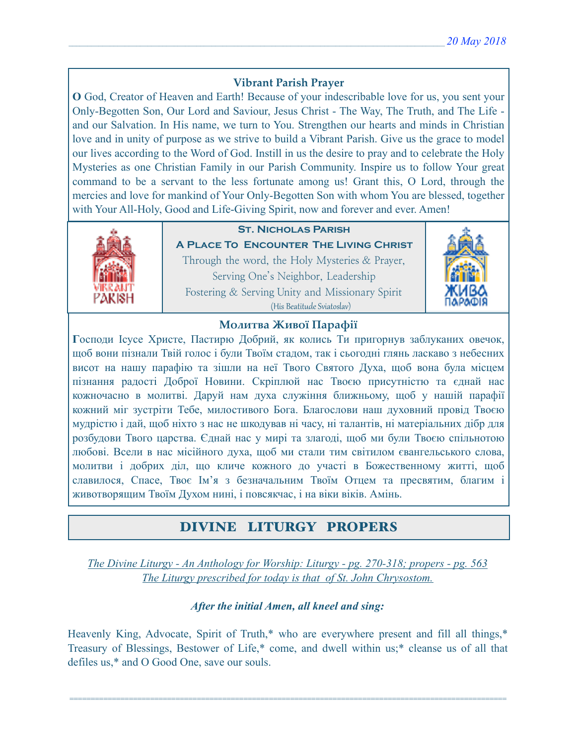## **Vibrant Parish Prayer**

**O** God, Creator of Heaven and Earth! Because of your indescribable love for us, you sent your Only-Begotten Son, Our Lord and Saviour, Jesus Christ - The Way, The Truth, and The Life and our Salvation. In His name, we turn to You. Strengthen our hearts and minds in Christian love and in unity of purpose as we strive to build a Vibrant Parish. Give us the grace to model our lives according to the Word of God. Instill in us the desire to pray and to celebrate the Holy Mysteries as one Christian Family in our Parish Community. Inspire us to follow Your great command to be a servant to the less fortunate among us! Grant this, O Lord, through the mercies and love for mankind of Your Only-Begotten Son with whom You are blessed, together with Your All-Holy, Good and Life-Giving Spirit, now and forever and ever. Amen!



## **St. Nicholas Parish**

**A Place To Encounter The Living Christ** Through the word, the Holy Mysteries & Prayer, Serving One's Neighbor, Leadership Fostering & Serving Unity and Missionary Spirit (His Beatitude Sviatoslav)



### **Молитва Живої Парафії**

**Г**осподи Ісусе Христе, Пастирю Добрий, як колись Ти пригорнув заблуканих овечок, щоб вони пізнали Твій голос і були Твоїм стадом, так і сьогодні глянь ласкаво з небесних висот на нашу парафію та зішли на неї Твого Святого Духа, щоб вона була місцем пізнання радості Доброї Новини. Скріплюй нас Твоєю присутністю та єднай нас кожночасно в молитві. Даруй нам духа служіння ближньому, щоб у нашій парафії кожний міг зустріти Тебе, милостивого Бога. Благослови наш духовний провід Твоєю мудрістю і дай, щоб ніхто з нас не шкодував ні часу, ні талантів, ні матеріальних дібр для розбудови Твого царства. Єднай нас у мирі та злагоді, щоб ми були Твоєю спільнотою любові. Всели в нас місійного духа, щоб ми стали тим світилом євангельського слова, молитви і добрих діл, що кличе кожного до участі в Божественному житті, щоб славилося, Спасе, Твоє Ім'я з безначальним Твоїм Отцем та пресвятим, благим і животворящим Твоїм Духом нині, і повсякчас, і на віки віків. Амінь.

# DIVINE LITURGY PROPERS

*The Divine Liturgy - An Anthology for Worship: Liturgy - pg. 270-318; propers - pg. 563 The Liturgy prescribed for today is that of St. John Chrysostom.* 

## *After the initial Amen, all kneel and sing:*

Heavenly King, Advocate, Spirit of Truth,\* who are everywhere present and fill all things,\* Treasury of Blessings, Bestower of Life,\* come, and dwell within us;\* cleanse us of all that defiles us,\* and O Good One, save our souls.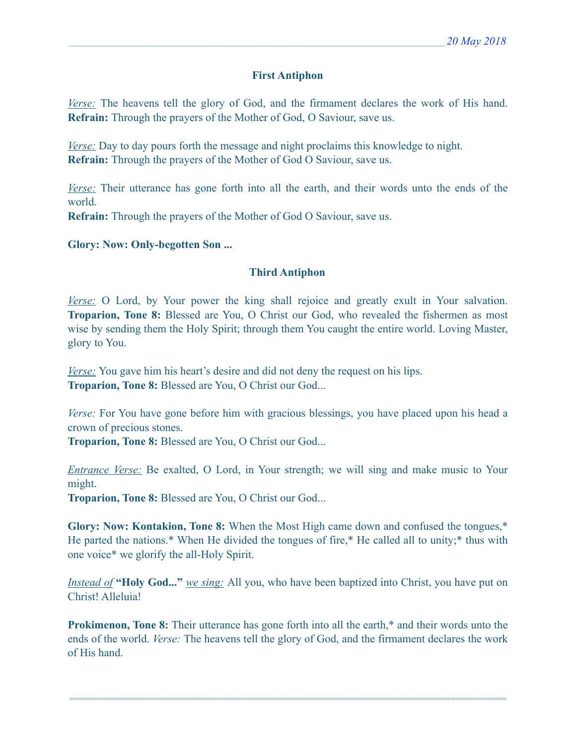### **First Antiphon**

*Verse:* The heavens tell the glory of God, and the firmament declares the work of His hand. **Refrain:** Through the prayers of the Mother of God, O Saviour, save us.

*Verse:* Day to day pours forth the message and night proclaims this knowledge to night. **Refrain:** Through the prayers of the Mother of God O Saviour, save us.

*Verse:* Their utterance has gone forth into all the earth, and their words unto the ends of the world.

**Refrain:** Through the prayers of the Mother of God O Saviour, save us.

**Glory: Now: Only-begotten Son ...** 

#### **Third Antiphon**

*Verse:* O Lord, by Your power the king shall rejoice and greatly exult in Your salvation. **Troparion, Tone 8:** Blessed are You, O Christ our God, who revealed the fishermen as most wise by sending them the Holy Spirit; through them You caught the entire world. Loving Master, glory to You.

*Verse:* You gave him his heart's desire and did not deny the request on his lips. **Troparion, Tone 8:** Blessed are You, O Christ our God...

*Verse:* For You have gone before him with gracious blessings, you have placed upon his head a crown of precious stones.

**Troparion, Tone 8:** Blessed are You, O Christ our God...

*Entrance Verse:* Be exalted, O Lord, in Your strength; we will sing and make music to Your might.

**Troparion, Tone 8:** Blessed are You, O Christ our God...

**Glory: Now: Kontakion, Tone 8:** When the Most High came down and confused the tongues,\* He parted the nations.\* When He divided the tongues of fire,\* He called all to unity;\* thus with one voice\* we glorify the all-Holy Spirit.

*Instead of* **"Holy God..."** *we sing:* All you, who have been baptized into Christ, you have put on Christ! Alleluia!

**Prokimenon, Tone 8:** Their utterance has gone forth into all the earth,<sup>\*</sup> and their words unto the ends of the world. *Verse:* The heavens tell the glory of God, and the firmament declares the work of His hand.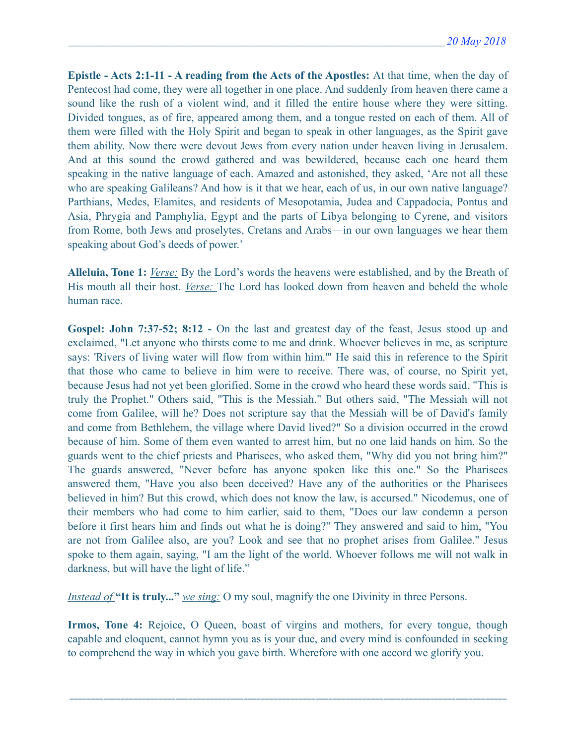**Epistle - Acts 2:1-11 - A reading from the Acts of the Apostles:** At that time, when the day of Pentecost had come, they were all together in one place. And suddenly from heaven there came a sound like the rush of a violent wind, and it filled the entire house where they were sitting. Divided tongues, as of fire, appeared among them, and a tongue rested on each of them. All of them were filled with the Holy Spirit and began to speak in other languages, as the Spirit gave them ability. Now there were devout Jews from every nation under heaven living in Jerusalem. And at this sound the crowd gathered and was bewildered, because each one heard them speaking in the native language of each. Amazed and astonished, they asked, 'Are not all these who are speaking Galileans? And how is it that we hear, each of us, in our own native language? Parthians, Medes, Elamites, and residents of Mesopotamia, Judea and Cappadocia, Pontus and Asia, Phrygia and Pamphylia, Egypt and the parts of Libya belonging to Cyrene, and visitors from Rome, both Jews and proselytes, Cretans and Arabs—in our own languages we hear them speaking about God's deeds of power.'

**Alleluia, Tone 1:** *Verse:* By the Lord's words the heavens were established, and by the Breath of His mouth all their host. *Verse:* The Lord has looked down from heaven and beheld the whole human race.

**Gospel: John 7:37-52; 8:12 -** On the last and greatest day of the feast, Jesus stood up and exclaimed, "Let anyone who thirsts come to me and drink. Whoever believes in me, as scripture says: 'Rivers of living water will flow from within him.'" He said this in reference to the Spirit that those who came to believe in him were to receive. There was, of course, no Spirit yet, because Jesus had not yet been glorified. Some in the crowd who heard these words said, "This is truly the Prophet." Others said, "This is the Messiah." But others said, "The Messiah will not come from Galilee, will he? Does not scripture say that the Messiah will be of David's family and come from Bethlehem, the village where David lived?" So a division occurred in the crowd because of him. Some of them even wanted to arrest him, but no one laid hands on him. So the guards went to the chief priests and Pharisees, who asked them, "Why did you not bring him?" The guards answered, "Never before has anyone spoken like this one." So the Pharisees answered them, "Have you also been deceived? Have any of the authorities or the Pharisees believed in him? But this crowd, which does not know the law, is accursed." Nicodemus, one of their members who had come to him earlier, said to them, "Does our law condemn a person before it first hears him and finds out what he is doing?" They answered and said to him, "You are not from Galilee also, are you? Look and see that no prophet arises from Galilee." Jesus spoke to them again, saying, "I am the light of the world. Whoever follows me will not walk in darkness, but will have the light of life."

*Instead of* **"It is truly..."** *we sing:* O my soul, magnify the one Divinity in three Persons.

**Irmos, Tone 4:** Rejoice, O Queen, boast of virgins and mothers, for every tongue, though capable and eloquent, cannot hymn you as is your due, and every mind is confounded in seeking to comprehend the way in which you gave birth. Wherefore with one accord we glorify you.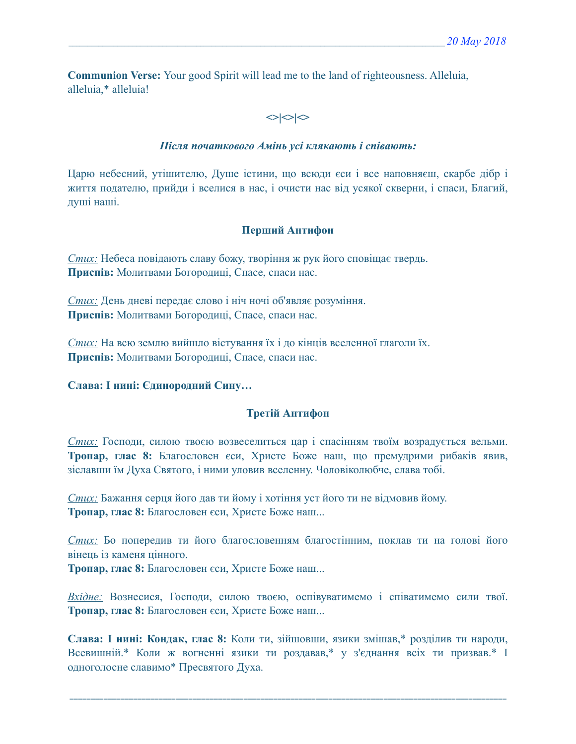**Communion Verse:** Your good Spirit will lead me to the land of righteousness. Alleluia, alleluia,\* alleluia!

# $\left| \diamond \right| \diamond \left| \diamond \right|$

### *Після початкового Амінь усі клякають і співають:*

Царю небесний, утішителю, Душе істини, що всюди єси і все наповняєш, скарбе дібр і життя подателю, прийди і вселися в нас, і очисти нас від усякої скверни, і спаси, Благий, душі наші.

## **Перший Антифон**

*Стих:* Небеса повідають славу божу, творіння ж рук його сповіщає твердь. **Приспів:** Молитвами Богородиці, Спасе, спаси нас.

*Стих:* День дневі передає слово і ніч ночі об'являє розуміння. **Приспів:** Молитвами Богородиці, Спасе, спаси нас.

*Стих:* На всю землю вийшло вістування їх і до кінців вселенної глаголи їх. **Приспів:** Молитвами Богородиці, Спасе, спаси нас.

## **Слава: І нині: Єдинородний Сину…**

## **Третій Антифон**

*Стих:* Господи, силою твоєю возвеселиться цар і спасінням твоїм возрадується вельми. **Тропар, глас 8:** Благословен єси, Христе Боже наш, що премудрими рибаків явив, зіславши їм Духа Святого, і ними уловив вселенну. Чоловіколюбче, слава тобі.

*Стих:* Бажання серця його дав ти йому і хотіння уст його ти не відмовив йому. **Тропар, глас 8:** Благословен єси, Христе Боже наш...

*Стих:* Бо попередив ти його благословенням благостінним, поклав ти на голові його вінець із каменя цінного. **Тропар, глас 8:** Благословен єси, Христе Боже наш...

*Вхідне:* Вознесися, Господи, силою твоєю, оспівуватимемо і співатимемо сили твої. **Тропар, глас 8:** Благословен єси, Христе Боже наш...

**Слава: І нині: Кондак, глас 8:** Коли ти, зійшовши, язики змішав,\* розділив ти народи, Всевишній.\* Коли ж вогненні язики ти роздавав,\* у з'єднання всіх ти призвав.\* І одноголосне славимо\* Пресвятого Духа.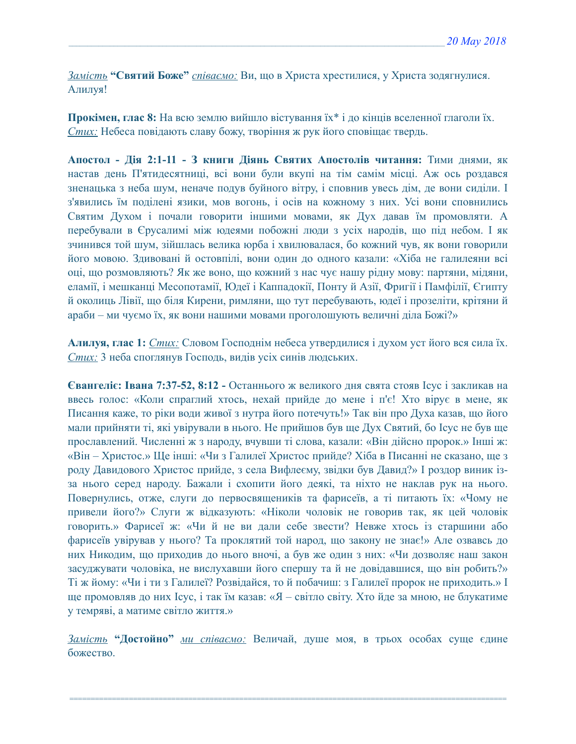*Замість* **"Святий Боже"** *співаємо:* Ви, що в Христа хрестилися, у Христа зодягнулися. Алилуя!

**Прокімен, глас 8:** На всю землю вийшло вістування їх\* і до кінців вселенної глаголи їх. *Стих:* Небеса повідають славу божу, творіння ж рук його сповіщає твердь.

**Апостол - Дія 2:1-11 - З книги Діянь Святих Апостолів читання:** Тими днями, як настав день П'ятидесятниці, всі вони були вкупі на тім самім місці. Аж ось роздався зненацька з неба шум, неначе подув буйного вітру, і сповнив увесь дім, де вони сиділи. І з'явились їм поділені язики, мов вогонь, і осів на кожному з них. Усі вони сповнились Святим Духом і почали говорити іншими мовами, як Дух давав їм промовляти. А перебували в Єрусалимі між юдеями побожні люди з усіх народів, що під небом. І як зчинився той шум, зійшлась велика юрба і хвилювалася, бо кожний чув, як вони говорили його мовою. Здивовані й остовпілі, вони один до одного казали: «Хіба не галилеяни всі оці, що розмовляють? Як же воно, що кожний з нас чує нашу рідну мову: партяни, мідяни, еламії, і мешканці Месопотамії, Юдеї і Каппадокії, Понту й Азії, Фригії і Памфілії, Єгипту й околиць Лівії, що біля Кирени, римляни, що тут перебувають, юдеї і прозеліти, крітяни й араби – ми чуємо їх, як вони нашими мовами проголошують величні діла Божі?»

**Алилуя, глас 1:** *Стих:* Словом Господнім небеса утвердилися і духом уст його вся сила їх. *Стих:* 3 неба споглянув Господь, видів усіх синів людських.

**Євангеліє: Івана 7:37-52, 8:12 -** Останнього ж великого дня свята стояв Ісус і закликав на ввесь голос: «Коли спраглий хтось, нехай прийде до мене і п'є! Хто вірує в мене, як Писання каже, то ріки води живої з нутра його потечуть!» Так він про Духа казав, що його мали прийняти ті, які увірували в нього. Не прийшов був ще Дух Святий, бо Ісус не був ще прославлений. Численні ж з народу, вчувши ті слова, казали: «Він дійсно пророк.» Інші ж: «Він – Христос.» Ще інші: «Чи з Галилеї Христос прийде? Хіба в Писанні не сказано, ще з роду Давидового Христос прийде, з села Вифлеєму, звідки був Давид?» І роздор виник ізза нього серед народу. Бажали і схопити його деякі, та ніхто не наклав рук на нього. Повернулись, отже, слуги до первосвящеників та фарисеїв, а ті питають їх: «Чому не привели його?» Слуги ж відказують: «Ніколи чоловік не говорив так, як цей чоловік говорить.» Фарисеї ж: «Чи й не ви дали себе звести? Невже хтось із старшини або фарисеїв увірував у нього? Та проклятий той народ, що закону не знає!» Але озвавсь до них Никодим, що приходив до нього вночі, а був же один з них: «Чи дозволяє наш закон засуджувати чоловіка, не вислухавши його спершу та й не довідавшися, що він робить?» Ті ж йому: «Чи і ти з Галилеї? Розвідайся, то й побачиш: з Галилеї пророк не приходить.» І ще промовляв до них Ісус, і так їм казав: «Я – світло світу. Хто йде за мною, не блукатиме у темряві, а матиме світло життя.»

*Замість* **"Достойно"** *ми співаємо:* Величай, душе моя, в трьох особах суще єдине божество.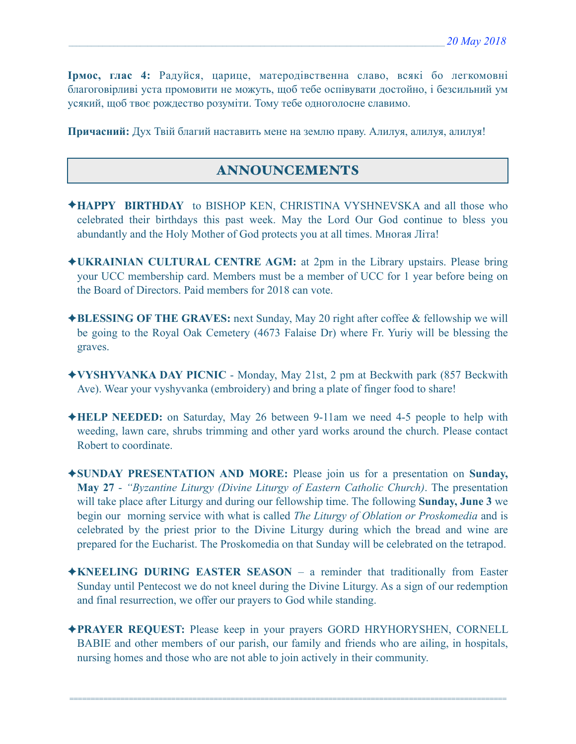**Ірмос, глас 4:** Радуйся, царице, матеродівственна славо, всякі бо легкомовні благоговірливі уста промовити не можуть, щоб тебе оспівувати достойно, і безсильний ум усякий, щоб твоє рождество розуміти. Тому тебе одноголосне славимо.

**Причасний:** Дух Твій благий наставить мене на землю праву. Алилуя, aлилуя, aлилуя!

# ANNOUNCEMENTS

- ✦**HAPPY BIRTHDAY** to BISHOP KEN, CHRISTINA VYSHNEVSKA and all those who celebrated their birthdays this past week. May the Lord Our God continue to bless you abundantly and the Holy Mother of God protects you at all times. Многая Літа!
- ✦**UKRAINIAN CULTURAL CENTRE AGM:** at 2pm in the Library upstairs. Please bring your UCC membership card. Members must be a member of UCC for 1 year before being on the Board of Directors. Paid members for 2018 can vote.
- ✦**BLESSING OF THE GRAVES:** next Sunday, May 20 right after coffee & fellowship we will be going to the Royal Oak Cemetery (4673 Falaise Dr) where Fr. Yuriy will be blessing the graves.
- ✦**VYSHYVANKA DAY PICNIC** Monday, May 21st, 2 pm at Beckwith park (857 Beckwith Ave). Wear your vyshyvanka (embroidery) and bring a plate of finger food to share!
- ✦**HELP NEEDED:** on Saturday, May 26 between 9-11am we need 4-5 people to help with weeding, lawn care, shrubs trimming and other yard works around the church. Please contact Robert to coordinate.
- ✦**SUNDAY PRESENTATION AND MORE:** Please join us for a presentation on **Sunday, May 27** - *"Byzantine Liturgy (Divine Liturgy of Eastern Catholic Church)*. The presentation will take place after Liturgy and during our fellowship time. The following **Sunday, June 3** we begin our morning service with what is called *The Liturgy of Oblation or Proskomedia* and is celebrated by the priest prior to the Divine Liturgy during which the bread and wine are prepared for the Eucharist. The Proskomedia on that Sunday will be celebrated on the tetrapod.
- ✦**KNEELING DURING EASTER SEASON**  a reminder that traditionally from Easter Sunday until Pentecost we do not kneel during the Divine Liturgy. As a sign of our redemption and final resurrection, we offer our prayers to God while standing.
- ✦**PRAYER REQUEST:** Please keep in your prayers GORD HRYHORYSHEN, CORNELL BABIE and other members of our parish, our family and friends who are ailing, in hospitals, nursing homes and those who are not able to join actively in their community.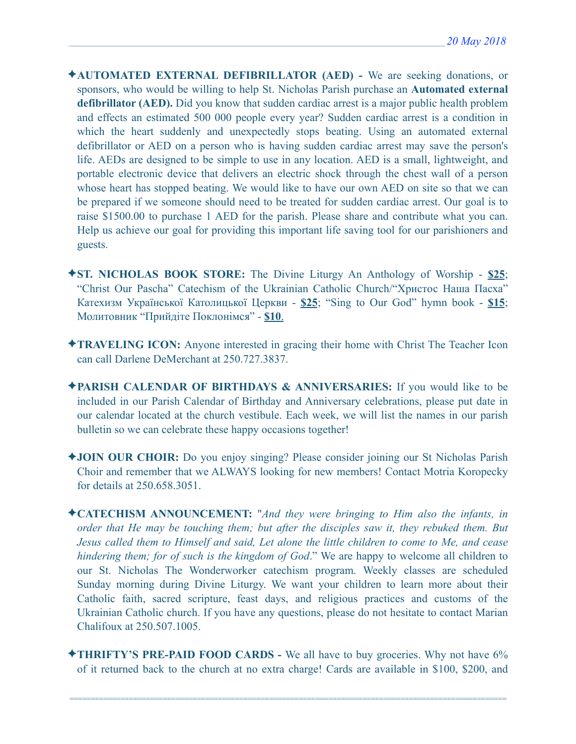- ✦**AUTOMATED EXTERNAL DEFIBRILLATOR (AED)** We are seeking donations, or sponsors, who would be willing to help St. Nicholas Parish purchase an **Automated external defibrillator (AED).** Did you know that sudden cardiac arrest is a major public health problem and effects an estimated 500 000 people every year? Sudden cardiac arrest is a condition in which the heart suddenly and unexpectedly stops beating. Using an automated external defibrillator or AED on a person who is having sudden cardiac arrest may save the person's life. AEDs are designed to be simple to use in any location. AED is a small, lightweight, and portable electronic device that delivers an electric shock through the chest wall of a person whose heart has stopped beating. We would like to have our own AED on site so that we can be prepared if we someone should need to be treated for sudden cardiac arrest. Our goal is to raise \$1500.00 to purchase 1 AED for the parish. Please share and contribute what you can. Help us achieve our goal for providing this important life saving tool for our parishioners and guests.
- ✦**ST. NICHOLAS BOOK STORE:** The Divine Liturgy An Anthology of Worship **\$25**; "Christ Our Pascha" Catechism of the Ukrainian Catholic Church/"Христос Наша Пасха" Катехизм Української Католицької Церкви - **\$25**; "Sing to Our God" hymn book - **\$15**; Молитовник "Прийдіте Поклонімся" - **\$10**.
- ✦**TRAVELING ICON:** Anyone interested in gracing their home with Christ The Teacher Icon can call Darlene DeMerchant at 250.727.3837.
- ✦**PARISH CALENDAR OF BIRTHDAYS & ANNIVERSARIES:** If you would like to be included in our Parish Calendar of Birthday and Anniversary celebrations, please put date in our calendar located at the church vestibule. Each week, we will list the names in our parish bulletin so we can celebrate these happy occasions together!
- ✦**JOIN OUR CHOIR:** Do you enjoy singing? Please consider joining our St Nicholas Parish Choir and remember that we ALWAYS looking for new members! Contact Motria Koropecky for details at 250.658.3051.
- ✦**CATECHISM ANNOUNCEMENT:** "*And they were bringing to Him also the infants, in order that He may be touching them; but after the disciples saw it, they rebuked them. But Jesus called them to Himself and said, Let alone the little children to come to Me, and cease hindering them; for of such is the kingdom of God*." We are happy to welcome all children to our St. Nicholas The Wonderworker catechism program. Weekly classes are scheduled Sunday morning during Divine Liturgy. We want your children to learn more about their Catholic faith, sacred scripture, feast days, and religious practices and customs of the Ukrainian Catholic church. If you have any questions, please do not hesitate to contact Marian Chalifoux at 250.507.1005.
- ✦**THRIFTY'S PRE-PAID FOOD CARDS** We all have to buy groceries. Why not have 6% of it returned back to the church at no extra charge! Cards are available in \$100, \$200, and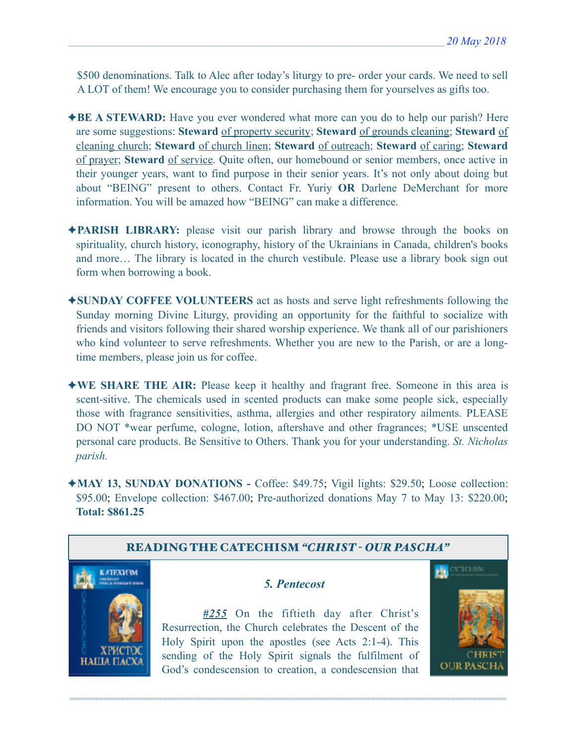\$500 denominations. Talk to Alec after today's liturgy to pre- order your cards. We need to sell A LOT of them! We encourage you to consider purchasing them for yourselves as gifts too.

- ✦**BE A STEWARD:** Have you ever wondered what more can you do to help our parish? Here are some suggestions: **Steward** of property security; **Steward** of grounds cleaning; **Steward** of cleaning church; **Steward** of church linen; **Steward** of outreach; **Steward** of caring; **Steward** of prayer; **Steward** of service. Quite often, our homebound or senior members, once active in their younger years, want to find purpose in their senior years. It's not only about doing but about "BEING" present to others. Contact Fr. Yuriy **OR** Darlene DeMerchant for more information. You will be amazed how "BEING" can make a difference.
- ✦**PARISH LIBRARY:** please visit our parish library and browse through the books on spirituality, church history, iconography, history of the Ukrainians in Canada, children's books and more… The library is located in the church vestibule. Please use a library book sign out form when borrowing a book.
- ✦**SUNDAY COFFEE VOLUNTEERS** act as hosts and serve light refreshments following the Sunday morning Divine Liturgy, providing an opportunity for the faithful to socialize with friends and visitors following their shared worship experience. We thank all of our parishioners who kind volunteer to serve refreshments. Whether you are new to the Parish, or are a longtime members, please join us for coffee.
- ✦**WE SHARE THE AIR:** Please keep it healthy and fragrant free. Someone in this area is scent-sitive. The chemicals used in scented products can make some people sick, especially those with fragrance sensitivities, asthma, allergies and other respiratory ailments. PLEASE DO NOT \*wear perfume, cologne, lotion, aftershave and other fragrances; \*USE unscented personal care products. Be Sensitive to Others. Thank you for your understanding. *St. Nicholas parish.*
- ✦**MAY 13, SUNDAY DONATIONS** Coffee: \$49.75; Vigil lights: \$29.50; Loose collection: \$95.00; Envelope collection: \$467.00; Pre-authorized donations May 7 to May 13: \$220.00; **Total: \$861.25**

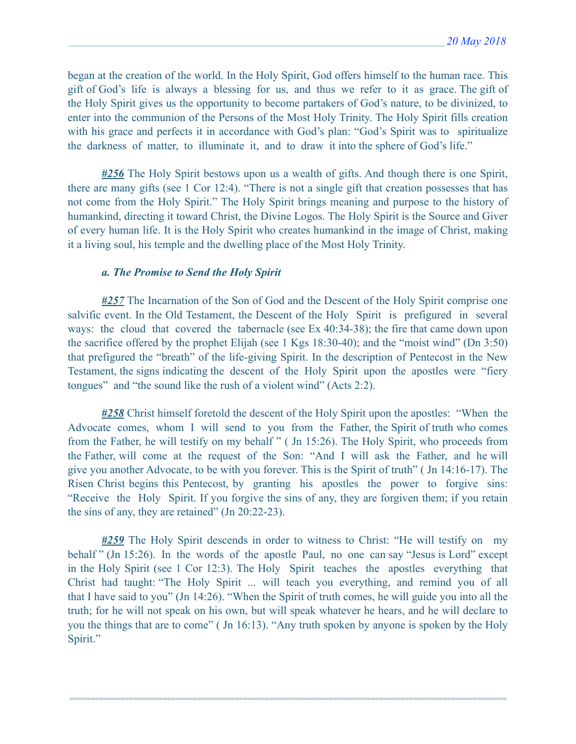began at the creation of the world. In the Holy Spirit, God offers himself to the human race. This gift of God's life is always a blessing for us, and thus we refer to it as grace. The gift of the Holy Spirit gives us the opportunity to become partakers of God's nature, to be divinized, to enter into the communion of the Persons of the Most Holy Trinity. The Holy Spirit fills creation with his grace and perfects it in accordance with God's plan: "God's Spirit was to spiritualize the darkness of matter, to illuminate it, and to draw it into the sphere of God's life."

*#256* The Holy Spirit bestows upon us a wealth of gifts. And though there is one Spirit, there are many gifts (see 1 Cor 12:4). "There is not a single gift that creation possesses that has not come from the Holy Spirit." The Holy Spirit brings meaning and purpose to the history of humankind, directing it toward Christ, the Divine Logos. The Holy Spirit is the Source and Giver of every human life. It is the Holy Spirit who creates humankind in the image of Christ, making it a living soul, his temple and the dwelling place of the Most Holy Trinity.

#### *a. The Promise to Send the Holy Spirit*

*#257* The Incarnation of the Son of God and the Descent of the Holy Spirit comprise one salvific event. In the Old Testament, the Descent of the Holy Spirit is prefigured in several ways: the cloud that covered the tabernacle (see Ex 40:34-38); the fire that came down upon the sacrifice offered by the prophet Elijah (see 1 Kgs 18:30-40); and the "moist wind" (Dn 3:50) that prefigured the "breath" of the life-giving Spirit. In the description of Pentecost in the New Testament, the signs indicating the descent of the Holy Spirit upon the apostles were "fiery tongues" and "the sound like the rush of a violent wind" (Acts 2:2).

*#258* Christ himself foretold the descent of the Holy Spirit upon the apostles: "When the Advocate comes, whom I will send to you from the Father, the Spirit of truth who comes from the Father, he will testify on my behalf " ( Jn 15:26). The Holy Spirit, who proceeds from the Father, will come at the request of the Son: "And I will ask the Father, and he will give you another Advocate, to be with you forever. This is the Spirit of truth" ( Jn 14:16-17). The Risen Christ begins this Pentecost, by granting his apostles the power to forgive sins: "Receive the Holy Spirit. If you forgive the sins of any, they are forgiven them; if you retain the sins of any, they are retained" (Jn 20:22-23).

*#259* The Holy Spirit descends in order to witness to Christ: "He will testify on my behalf " (Jn 15:26). In the words of the apostle Paul, no one can say "Jesus is Lord" except in the Holy Spirit (see 1 Cor 12:3). The Holy Spirit teaches the apostles everything that Christ had taught: "The Holy Spirit ... will teach you everything, and remind you of all that I have said to you" (Jn 14:26). "When the Spirit of truth comes, he will guide you into all the truth; for he will not speak on his own, but will speak whatever he hears, and he will declare to you the things that are to come" ( Jn 16:13). "Any truth spoken by anyone is spoken by the Holy Spirit."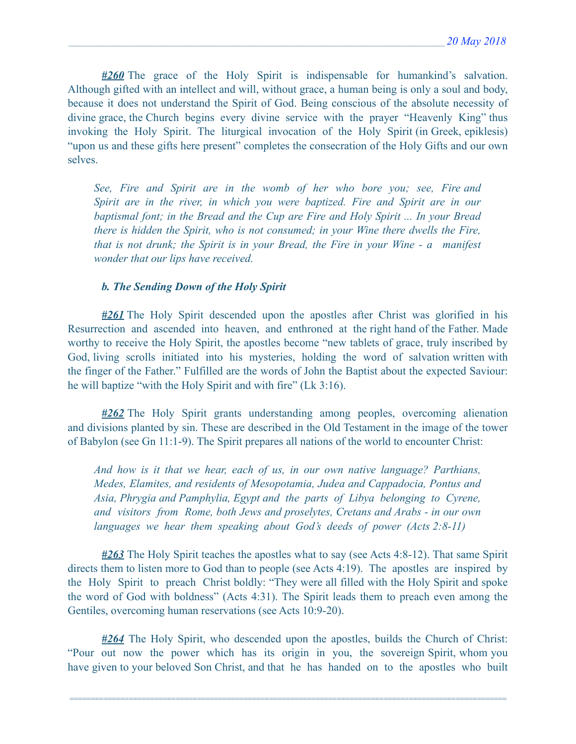*#260* The grace of the Holy Spirit is indispensable for humankind's salvation. Although gifted with an intellect and will, without grace, a human being is only a soul and body, because it does not understand the Spirit of God. Being conscious of the absolute necessity of divine grace, the Church begins every divine service with the prayer "Heavenly King" thus invoking the Holy Spirit. The liturgical invocation of the Holy Spirit (in Greek, epiklesis) "upon us and these gifts here present" completes the consecration of the Holy Gifts and our own selves.

*See, Fire and Spirit are in the womb of her who bore you; see, Fire and Spirit are in the river, in which you were baptized. Fire and Spirit are in our baptismal font; in the Bread and the Cup are Fire and Holy Spirit ... In your Bread there is hidden the Spirit, who is not consumed; in your Wine there dwells the Fire, that is not drunk; the Spirit is in your Bread, the Fire in your Wine - a manifest wonder that our lips have received.* 

#### *b. The Sending Down of the Holy Spirit*

*#261* The Holy Spirit descended upon the apostles after Christ was glorified in his Resurrection and ascended into heaven, and enthroned at the right hand of the Father. Made worthy to receive the Holy Spirit, the apostles become "new tablets of grace, truly inscribed by God, living scrolls initiated into his mysteries, holding the word of salvation written with the finger of the Father." Fulfilled are the words of John the Baptist about the expected Saviour: he will baptize "with the Holy Spirit and with fire" (Lk 3:16).

*#262* The Holy Spirit grants understanding among peoples, overcoming alienation and divisions planted by sin. These are described in the Old Testament in the image of the tower of Babylon (see Gn 11:1-9). The Spirit prepares all nations of the world to encounter Christ:

*And how is it that we hear, each of us, in our own native language? Parthians, Medes, Elamites, and residents of Mesopotamia, Judea and Cappadocia, Pontus and Asia, Phrygia and Pamphylia, Egypt and the parts of Libya belonging to Cyrene, and visitors from Rome, both Jews and proselytes, Cretans and Arabs - in our own languages we hear them speaking about God's deeds of power (Acts 2:8-11)* 

*#263* The Holy Spirit teaches the apostles what to say (see Acts 4:8-12). That same Spirit directs them to listen more to God than to people (see Acts 4:19). The apostles are inspired by the Holy Spirit to preach Christ boldly: "They were all filled with the Holy Spirit and spoke the word of God with boldness" (Acts 4:31). The Spirit leads them to preach even among the Gentiles, overcoming human reservations (see Acts 10:9-20).

*#264* The Holy Spirit, who descended upon the apostles, builds the Church of Christ: "Pour out now the power which has its origin in you, the sovereign Spirit, whom you have given to your beloved Son Christ, and that he has handed on to the apostles who built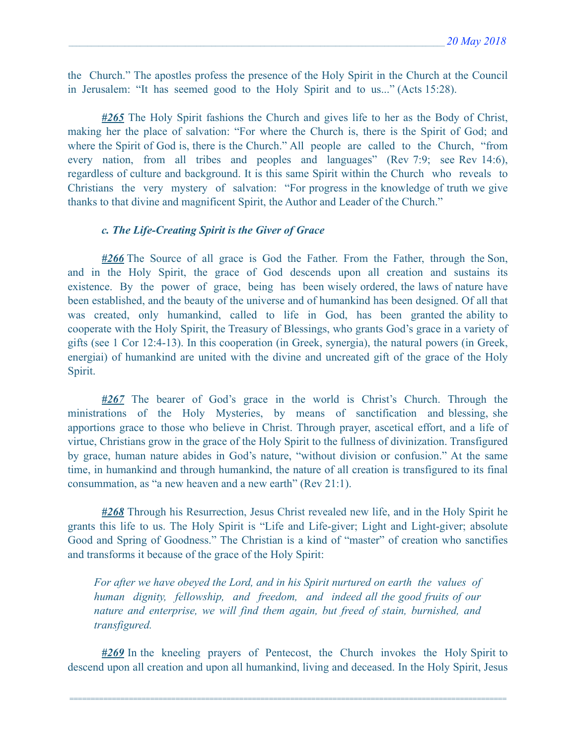the Church." The apostles profess the presence of the Holy Spirit in the Church at the Council in Jerusalem: "It has seemed good to the Holy Spirit and to us..." (Acts 15:28).

*#265* The Holy Spirit fashions the Church and gives life to her as the Body of Christ, making her the place of salvation: "For where the Church is, there is the Spirit of God; and where the Spirit of God is, there is the Church." All people are called to the Church, "from every nation, from all tribes and peoples and languages" (Rev 7:9; see Rev 14:6), regardless of culture and background. It is this same Spirit within the Church who reveals to Christians the very mystery of salvation: "For progress in the knowledge of truth we give thanks to that divine and magnificent Spirit, the Author and Leader of the Church."

#### *c. The Life-Creating Spirit is the Giver of Grace*

*#266* The Source of all grace is God the Father. From the Father, through the Son, and in the Holy Spirit, the grace of God descends upon all creation and sustains its existence. By the power of grace, being has been wisely ordered, the laws of nature have been established, and the beauty of the universe and of humankind has been designed. Of all that was created, only humankind, called to life in God, has been granted the ability to cooperate with the Holy Spirit, the Treasury of Blessings, who grants God's grace in a variety of gifts (see 1 Cor 12:4-13). In this cooperation (in Greek, synergia), the natural powers (in Greek, energiai) of humankind are united with the divine and uncreated gift of the grace of the Holy Spirit.

*#267* The bearer of God's grace in the world is Christ's Church. Through the ministrations of the Holy Mysteries, by means of sanctification and blessing, she apportions grace to those who believe in Christ. Through prayer, ascetical effort, and a life of virtue, Christians grow in the grace of the Holy Spirit to the fullness of divinization. Transfigured by grace, human nature abides in God's nature, "without division or confusion." At the same time, in humankind and through humankind, the nature of all creation is transfigured to its final consummation, as "a new heaven and a new earth" (Rev 21:1).

*#268* Through his Resurrection, Jesus Christ revealed new life, and in the Holy Spirit he grants this life to us. The Holy Spirit is "Life and Life-giver; Light and Light-giver; absolute Good and Spring of Goodness." The Christian is a kind of "master" of creation who sanctifies and transforms it because of the grace of the Holy Spirit:

*For after we have obeyed the Lord, and in his Spirit nurtured on earth the values of human dignity, fellowship, and freedom, and indeed all the good fruits of our nature and enterprise, we will find them again, but freed of stain, burnished, and transfigured.* 

*#269* In the kneeling prayers of Pentecost, the Church invokes the Holy Spirit to descend upon all creation and upon all humankind, living and deceased. In the Holy Spirit, Jesus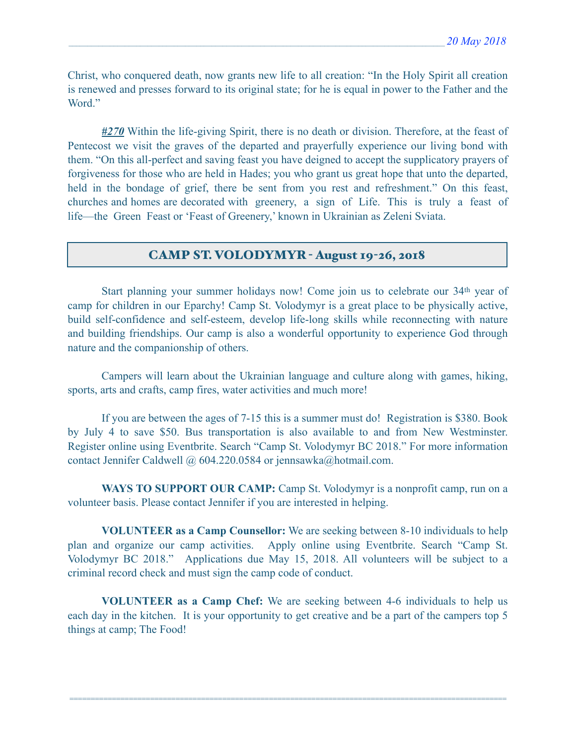Christ, who conquered death, now grants new life to all creation: "In the Holy Spirit all creation is renewed and presses forward to its original state; for he is equal in power to the Father and the Word."

*#270* Within the life-giving Spirit, there is no death or division. Therefore, at the feast of Pentecost we visit the graves of the departed and prayerfully experience our living bond with them. "On this all-perfect and saving feast you have deigned to accept the supplicatory prayers of forgiveness for those who are held in Hades; you who grant us great hope that unto the departed, held in the bondage of grief, there be sent from you rest and refreshment." On this feast, churches and homes are decorated with greenery, a sign of Life. This is truly a feast of life—the Green Feast or 'Feast of Greenery,' known in Ukrainian as Zeleni Sviata.

### CAMP ST. VOLODYMYR - August 19-26, 2018

 Start planning your summer holidays now! Come join us to celebrate our 34th year of camp for children in our Eparchy! Camp St. Volodymyr is a great place to be physically active, build self-confidence and self-esteem, develop life-long skills while reconnecting with nature and building friendships. Our camp is also a wonderful opportunity to experience God through nature and the companionship of others.

 Campers will learn about the Ukrainian language and culture along with games, hiking, sports, arts and crafts, camp fires, water activities and much more!

 If you are between the ages of 7-15 this is a summer must do! Registration is \$380. Book by July 4 to save \$50. Bus transportation is also available to and from New Westminster. Register online using Eventbrite. Search "Camp St. Volodymyr BC 2018." For more information contact Jennifer Caldwell @ 604.220.0584 or [jennsawka@hotmail.com.](mailto:jennsawka@hotmail.com)

**WAYS TO SUPPORT OUR CAMP:** Camp St. Volodymyr is a nonprofit camp, run on a volunteer basis. Please contact Jennifer if you are interested in helping.

**VOLUNTEER as a Camp Counsellor:** We are seeking between 8-10 individuals to help plan and organize our camp activities. Apply online using Eventbrite. Search "Camp St. Volodymyr BC 2018." Applications due May 15, 2018. All volunteers will be subject to a criminal record check and must sign the camp code of conduct.

**VOLUNTEER as a Camp Chef:** We are seeking between 4-6 individuals to help us each day in the kitchen. It is your opportunity to get creative and be a part of the campers top 5 things at camp; The Food!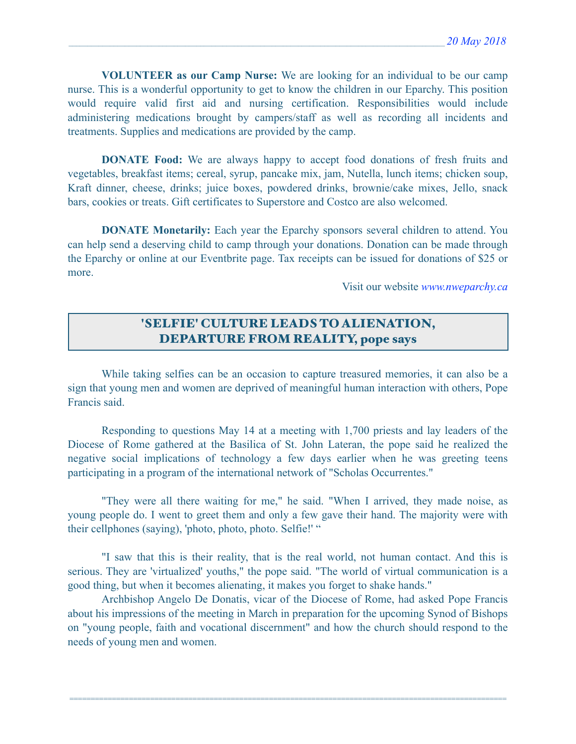**VOLUNTEER as our Camp Nurse:** We are looking for an individual to be our camp nurse. This is a wonderful opportunity to get to know the children in our Eparchy. This position would require valid first aid and nursing certification. Responsibilities would include administering medications brought by campers/staff as well as recording all incidents and treatments. Supplies and medications are provided by the camp.

**DONATE Food:** We are always happy to accept food donations of fresh fruits and vegetables, breakfast items; cereal, syrup, pancake mix, jam, Nutella, lunch items; chicken soup, Kraft dinner, cheese, drinks; juice boxes, powdered drinks, brownie/cake mixes, Jello, snack bars, cookies or treats. Gift certificates to Superstore and Costco are also welcomed.

 **DONATE Monetarily:** Each year the Eparchy sponsors several children to attend. You can help send a deserving child to camp through your donations. Donation can be made through the Eparchy or online at our Eventbrite page. Tax receipts can be issued for donations of \$25 or more.

Visit our website *[www.nweparchy.ca](http://www.nweparchy.ca)*

# 'SELFIE' CULTURE LEADS TO ALIENATION, DEPARTURE FROM REALITY, pope says

 While taking selfies can be an occasion to capture treasured memories, it can also be a sign that young men and women are deprived of meaningful human interaction with others, Pope Francis said.

 Responding to questions May 14 at a meeting with 1,700 priests and lay leaders of the Diocese of Rome gathered at the Basilica of St. John Lateran, the pope said he realized the negative social implications of technology a few days earlier when he was greeting teens participating in a program of the international network of "Scholas Occurrentes."

 "They were all there waiting for me," he said. "When I arrived, they made noise, as young people do. I went to greet them and only a few gave their hand. The majority were with their cellphones (saying), 'photo, photo, photo. Selfie!' "

 "I saw that this is their reality, that is the real world, not human contact. And this is serious. They are 'virtualized' youths," the pope said. "The world of virtual communication is a good thing, but when it becomes alienating, it makes you forget to shake hands."

 Archbishop Angelo De Donatis, vicar of the Diocese of Rome, had asked Pope Francis about his impressions of the meeting in March in preparation for the upcoming Synod of Bishops on "young people, faith and vocational discernment" and how the church should respond to the needs of young men and women.